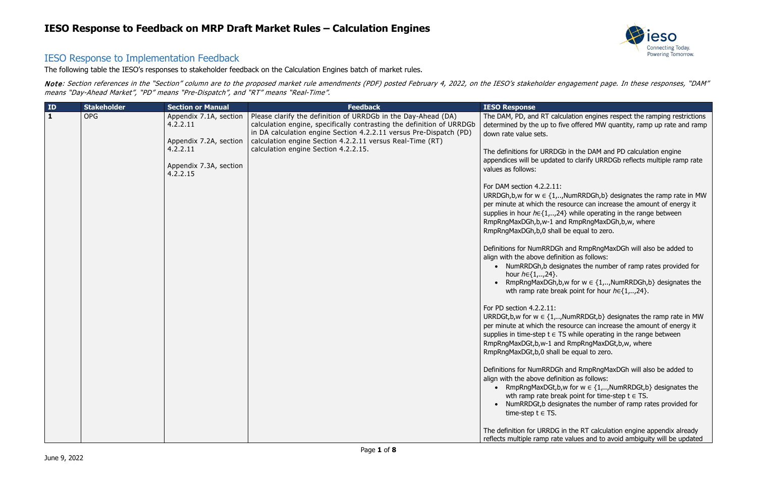

alculation engines respect the ramping restrictions o five offered MW quantity, ramp up rate and ramp

DGb in the DAM and PD calculation engine ated to clarify URRDGb reflects multiple ramp rate

...,NumRRDGh,b} designates the ramp rate in MW per mesource can increase the amount of energy it  $,24$ } while operating in the range between and RmpRngMaxDGh,b,w, where all be equal to zero.

Gh and RmpRngMaxDGh will also be added to finition as follows:

esignates the number of ramp rates provided for

 $n, b, w$  for  $w \in \{1, \ldots, NumRRDGh, b\}$  designates the reak point for hour  $h \in \{1, \ldots, 24\}$ .

 $\ldots$ NumRRDGt,b} designates the ramp rate in MW presource can increase the amount of energy it **TS while operating in the range between** and RmpRngMaxDGt,b,w, where all be equal to zero.

Gh and RmpRngMaxDGh will also be added to finition as follows:

 $k, b, w$  for  $w \in \{1, \ldots, NumRRDGt, b\}$  designates the reak point for time-step  $t \in TS$ .

signates the number of ramp rates provided for

G in the RT calculation engine appendix already ate values and to avoid ambiguity will be updated

#### IESO Response to Implementation Feedback

The following table the IESO's responses to stakeholder feedback on the Calculation Engines batch of market rules.

Note: Section references in the "Section" column are to the proposed market rule amendments (PDF) posted February 4, 2022, on the IESO's stakeholder engagement page. In these responses, "DAM" means "Day-Ahead Market", "PD" means "Pre-Dispatch", and "RT" means "Real-Time".

| $\mathbf{1}$<br><b>OPG</b><br>Please clarify the definition of URRDGb in the Day-Ahead (DA)<br>Appendix 7.1A, section<br>calculation engine, specifically contrasting the definition of URRDGb<br>4.2.2.11<br>in DA calculation engine Section 4.2.2.11 versus Pre-Dispatch (PD)<br>down rate value sets.<br>calculation engine Section 4.2.2.11 versus Real-Time (RT)<br>Appendix 7.2A, section<br>4.2.2.11<br>calculation engine Section 4.2.2.15.<br>Appendix 7.3A, section<br>values as follows:<br>4.2.2.15<br>$\bullet$ | ID | <b>Stakeholder</b> | <b>Section or Manual</b> | <b>Feedback</b> | <b>IESO Response</b>                                                                                                                                                                                                                                                                                                                                                                                                                                                                                                                                                                                                                                                                                                                                           |
|-------------------------------------------------------------------------------------------------------------------------------------------------------------------------------------------------------------------------------------------------------------------------------------------------------------------------------------------------------------------------------------------------------------------------------------------------------------------------------------------------------------------------------|----|--------------------|--------------------------|-----------------|----------------------------------------------------------------------------------------------------------------------------------------------------------------------------------------------------------------------------------------------------------------------------------------------------------------------------------------------------------------------------------------------------------------------------------------------------------------------------------------------------------------------------------------------------------------------------------------------------------------------------------------------------------------------------------------------------------------------------------------------------------------|
| $\bullet$                                                                                                                                                                                                                                                                                                                                                                                                                                                                                                                     |    |                    |                          |                 | The DAM, PD, and RT cald<br>determined by the up to f<br>The definitions for URRDG<br>appendices will be update<br>For DAM section 4.2.2.11:<br>URRDGh, b, w for $w \in \{1, $<br>per minute at which the re<br>supplies in hour $h \in \{1, \ldots, 2\}$<br>RmpRngMaxDGh,b,w-1 ar<br>RmpRngMaxDGh,b,0 shall<br>Definitions for NumRRDGI<br>align with the above defin<br>NumRRDGh,b desi<br>hour $h \in \{1, , 24\}$ .<br>RmpRngMaxDGh,b<br>wth ramp rate brea<br>For PD section 4.2.2.11:<br>URRDGt, b, w for $w \in \{1, \ldots, n\}$<br>per minute at which the re<br>supplies in time-step $t \in T$<br>RmpRngMaxDGt,b,w-1 an<br>RmpRngMaxDGt,b,0 shall<br>Definitions for NumRRDGI<br>align with the above defin<br>RmpRngMaxDGt,b<br>wth ramp rate brea |
|                                                                                                                                                                                                                                                                                                                                                                                                                                                                                                                               |    |                    |                          |                 | The definition for URRDG<br>reflects multiple ramp rate                                                                                                                                                                                                                                                                                                                                                                                                                                                                                                                                                                                                                                                                                                        |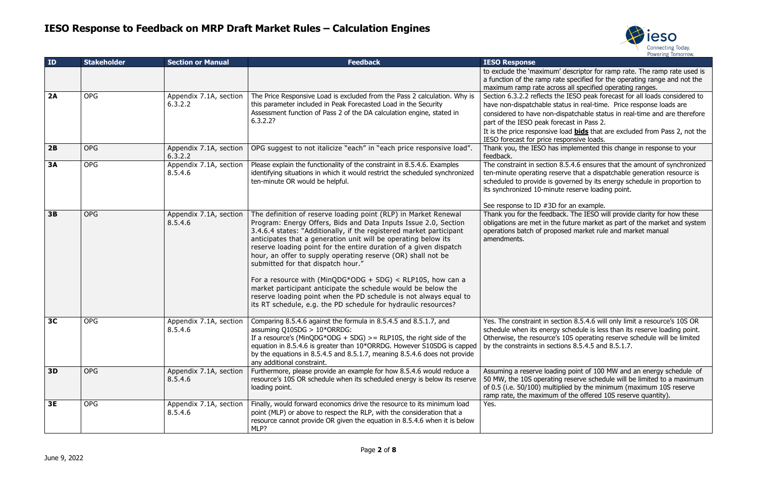

m' descriptor for ramp rate. The ramp rate used is rate specified for the operating range and not the ross all specified operating ranges.

the IESO peak forecast for all loads considered to status in real-time. Price response loads are -dispatchable status in real-time and are therefore precast in Pass 2.

e load **bids** that are excluded from Pass 2, not the responsive loads.

as implemented this change in response to your

In 8.5.4.6 ensures that the amount of synchronized eserve that a dispatchable generation resource is governed by its energy schedule in proportion to iute reserve loading point.

) for an example.

back. The IESO will provide clarity for how these ne future market as part of the market and system posed market rule and market manual

ection 8.5.4.6 will only limit a resource's 10S OR gy schedule is less than its reserve loading point. otherwise, 10S operating reserve schedule will be limited  $\sigma$  ctions 8.5.4.5 and 8.5.1.7.

ding point of 100 MW and an energy schedule of ng reserve schedule will be limited to a maximum tiplied by the minimum (maximum 10S reserve m of the offered 10S reserve quantity).

| ID             | <b>Stakeholder</b> | <b>Section or Manual</b>          | <b>Feedback</b>                                                                                                                                                                                                                                                                                                                                                                                                                                                                                                                                                                                                                                                                                                              | <b>IESO Response</b>                                                                                                                                                  |
|----------------|--------------------|-----------------------------------|------------------------------------------------------------------------------------------------------------------------------------------------------------------------------------------------------------------------------------------------------------------------------------------------------------------------------------------------------------------------------------------------------------------------------------------------------------------------------------------------------------------------------------------------------------------------------------------------------------------------------------------------------------------------------------------------------------------------------|-----------------------------------------------------------------------------------------------------------------------------------------------------------------------|
|                |                    |                                   |                                                                                                                                                                                                                                                                                                                                                                                                                                                                                                                                                                                                                                                                                                                              | to exclude the 'maximur<br>a function of the ramp r<br>maximum ramp rate acr                                                                                          |
| 2A             | <b>OPG</b>         | Appendix 7.1A, section<br>6.3.2.2 | The Price Responsive Load is excluded from the Pass 2 calculation. Why is<br>this parameter included in Peak Forecasted Load in the Security<br>Assessment function of Pass 2 of the DA calculation engine, stated in<br>6.3.2.2?                                                                                                                                                                                                                                                                                                                                                                                                                                                                                            | Section 6.3.2.2 reflects<br>have non-dispatchable s<br>considered to have non-<br>part of the IESO peak fo<br>It is the price responsive<br>IESO forecast for price r |
| 2B             | <b>OPG</b>         | Appendix 7.1A, section<br>6.3.2.2 | OPG suggest to not italicize "each" in "each price responsive load".                                                                                                                                                                                                                                                                                                                                                                                                                                                                                                                                                                                                                                                         | Thank you, the IESO ha<br>feedback.                                                                                                                                   |
| <b>3A</b>      | <b>OPG</b>         | Appendix 7.1A, section<br>8.5.4.6 | Please explain the functionality of the constraint in 8.5.4.6. Examples<br>identifying situations in which it would restrict the scheduled synchronized<br>ten-minute OR would be helpful.                                                                                                                                                                                                                                                                                                                                                                                                                                                                                                                                   | The constraint in sectior<br>ten-minute operating re<br>scheduled to provide is<br>its synchronized 10-min                                                            |
| 3B             | <b>OPG</b>         | Appendix 7.1A, section<br>8.5.4.6 | The definition of reserve loading point (RLP) in Market Renewal<br>Program: Energy Offers, Bids and Data Inputs Issue 2.0, Section<br>3.4.6.4 states: "Additionally, if the registered market participant<br>anticipates that a generation unit will be operating below its<br>reserve loading point for the entire duration of a given dispatch<br>hour, an offer to supply operating reserve (OR) shall not be<br>submitted for that dispatch hour."<br>For a resource with (MinQDG*ODG + SDG) < RLP10S, how can a<br>market participant anticipate the schedule would be below the<br>reserve loading point when the PD schedule is not always equal to<br>its RT schedule, e.g. the PD schedule for hydraulic resources? | See response to ID #3D<br>Thank you for the feedb<br>obligations are met in th<br>operations batch of prop<br>amendments.                                             |
| 3 <sub>C</sub> | <b>OPG</b>         | Appendix 7.1A, section<br>8.5.4.6 | Comparing 8.5.4.6 against the formula in 8.5.4.5 and 8.5.1.7, and<br>assuming Q10SDG > $10*ORRDG$ :<br>If a resource's (MinQDG*ODG + SDG) $>$ = RLP10S, the right side of the<br>equation in 8.5.4.6 is greater than 10*ORRDG. However S10SDG is capped<br>by the equations in 8.5.4.5 and 8.5.1.7, meaning 8.5.4.6 does not provide<br>any additional constraint.                                                                                                                                                                                                                                                                                                                                                           | Yes. The constraint in se<br>schedule when its energ<br>Otherwise, the resource<br>by the constraints in sed                                                          |
| 3D             | <b>OPG</b>         | Appendix 7.1A, section<br>8.5.4.6 | Furthermore, please provide an example for how 8.5.4.6 would reduce a<br>resource's 10S OR schedule when its scheduled energy is below its reserve<br>loading point.                                                                                                                                                                                                                                                                                                                                                                                                                                                                                                                                                         | Assuming a reserve load<br>50 MW, the 10S operati<br>of 0.5 (i.e. 50/100) mult<br>ramp rate, the maximur                                                              |
| 3E             | <b>OPG</b>         | Appendix 7.1A, section<br>8.5.4.6 | Finally, would forward economics drive the resource to its minimum load<br>point (MLP) or above to respect the RLP, with the consideration that a<br>resource cannot provide OR given the equation in 8.5.4.6 when it is below<br>MLP?                                                                                                                                                                                                                                                                                                                                                                                                                                                                                       | Yes.                                                                                                                                                                  |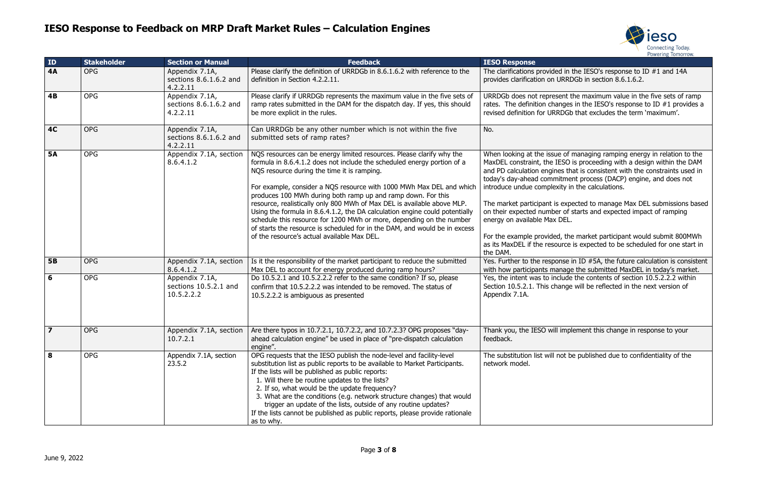

 $H$ ded in the IESO's response to ID  $#1$  and 14A URRDGb in section 8.6.1.6.2.

esent the maximum value in the five sets of ramp ranges in the IESO's response to ID  $#1$  provides a RDGb that excludes the term 'maximum'.

ue of managing ramping energy in relation to the IESO is proceeding with a design within the DAM nes that is consistent with the constraints used in mitment process (DACP) engine, and does not exity in the calculations.

is expected to manage Max DEL submissions based per of starts and expected impact of ramping DEL.

ed, the market participant would submit 800MWh source is expected to be scheduled for one start in

oonse in ID #5A, the future calculation is consistent anage the submitted MaxDEL in today's market. nclude the contents of section 10.5.2.2.2 within hange will be reflected in the next version of

Il implement this change in response to your

not be published due to confidentiality of the

| ID             | <b>Stakeholder</b> | <b>Section or Manual</b>                              | <b>Feedback</b>                                                                                                                                                                                                                                                                                                                                                                                                                                                                                                                                                                                                                                                                                        | <b>IESO Response</b>                                                                                                                                                                                                                                                                    |
|----------------|--------------------|-------------------------------------------------------|--------------------------------------------------------------------------------------------------------------------------------------------------------------------------------------------------------------------------------------------------------------------------------------------------------------------------------------------------------------------------------------------------------------------------------------------------------------------------------------------------------------------------------------------------------------------------------------------------------------------------------------------------------------------------------------------------------|-----------------------------------------------------------------------------------------------------------------------------------------------------------------------------------------------------------------------------------------------------------------------------------------|
| <b>4A</b>      | <b>OPG</b>         | Appendix 7.1A,<br>sections 8.6.1.6.2 and<br>4.2.2.11  | Please clarify the definition of URRDGb in 8.6.1.6.2 with reference to the<br>definition in Section 4.2.2.11.                                                                                                                                                                                                                                                                                                                                                                                                                                                                                                                                                                                          | The clarifications provide<br>provides clarification on                                                                                                                                                                                                                                 |
| 4B             | <b>OPG</b>         | Appendix 7.1A,<br>sections 8.6.1.6.2 and<br>4.2.2.11  | Please clarify if URRDGb represents the maximum value in the five sets of<br>ramp rates submitted in the DAM for the dispatch day. If yes, this should<br>be more explicit in the rules.                                                                                                                                                                                                                                                                                                                                                                                                                                                                                                               | URRDGb does not repre<br>rates. The definition cha<br>revised definition for UR                                                                                                                                                                                                         |
| <b>4C</b>      | <b>OPG</b>         | Appendix 7.1A,<br>sections 8.6.1.6.2 and<br>4.2.2.11  | Can URRDGb be any other number which is not within the five<br>submitted sets of ramp rates?                                                                                                                                                                                                                                                                                                                                                                                                                                                                                                                                                                                                           | No.                                                                                                                                                                                                                                                                                     |
| <b>5A</b>      | <b>OPG</b>         | Appendix 7.1A, section<br>8.6.4.1.2                   | NQS resources can be energy limited resources. Please clarify why the<br>formula in 8.6.4.1.2 does not include the scheduled energy portion of a<br>NQS resource during the time it is ramping.<br>For example, consider a NQS resource with 1000 MWh Max DEL and which<br>produces 100 MWh during both ramp up and ramp down. For this<br>resource, realistically only 800 MWh of Max DEL is available above MLP.<br>Using the formula in 8.6.4.1.2, the DA calculation engine could potentially<br>schedule this resource for 1200 MWh or more, depending on the number<br>of starts the resource is scheduled for in the DAM, and would be in excess<br>of the resource's actual available Max DEL. | When looking at the issu<br>MaxDEL constraint, the<br>and PD calculation engir<br>today's day-ahead comn<br>introduce undue comple<br>The market participant i<br>on their expected numb<br>energy on available Max<br>For the example provide<br>as its MaxDEL if the reso<br>the DAM. |
| <b>5B</b>      | <b>OPG</b>         | Appendix 7.1A, section<br>8.6.4.1.2                   | Is it the responsibility of the market participant to reduce the submitted<br>Max DEL to account for energy produced during ramp hours?                                                                                                                                                                                                                                                                                                                                                                                                                                                                                                                                                                | Yes. Further to the resp<br>with how participants m                                                                                                                                                                                                                                     |
| 6              | <b>OPG</b>         | Appendix 7.1A,<br>sections 10.5.2.1 and<br>10.5.2.2.2 | Do 10.5.2.1 and 10.5.2.2.2 refer to the same condition? If so, please<br>confirm that 10.5.2.2.2 was intended to be removed. The status of<br>10.5.2.2.2 is ambiguous as presented                                                                                                                                                                                                                                                                                                                                                                                                                                                                                                                     | Yes, the intent was to in<br>Section 10.5.2.1. This ch<br>Appendix 7.1A.                                                                                                                                                                                                                |
| $\overline{7}$ | <b>OPG</b>         | 10.7.2.1                                              | Appendix 7.1A, section   Are there typos in 10.7.2.1, 10.7.2.2, and 10.7.2.3? OPG proposes "day-<br>ahead calculation engine" be used in place of "pre-dispatch calculation<br>engine".                                                                                                                                                                                                                                                                                                                                                                                                                                                                                                                | Thank you, the IESO wil<br>feedback.                                                                                                                                                                                                                                                    |
| 8              | <b>OPG</b>         | Appendix 7.1A, section<br>23.5.2                      | OPG requests that the IESO publish the node-level and facility-level<br>substitution list as public reports to be available to Market Participants.<br>If the lists will be published as public reports:<br>1. Will there be routine updates to the lists?<br>2. If so, what would be the update frequency?<br>3. What are the conditions (e.g. network structure changes) that would<br>trigger an update of the lists, outside of any routine updates?<br>If the lists cannot be published as public reports, please provide rationale<br>as to why.                                                                                                                                                 | The substitution list will<br>network model.                                                                                                                                                                                                                                            |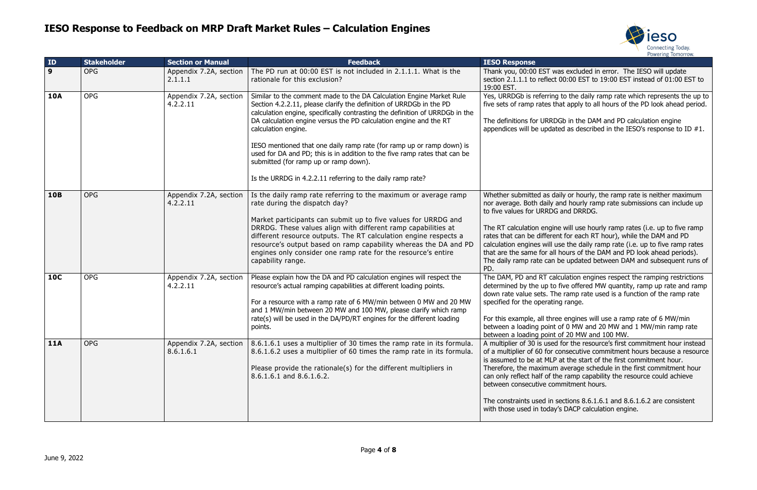

vas excluded in error. The IESO will update t 00:00 EST to 19:00 EST instead of 01:00 EST to

g to the daily ramp rate which represents the up to that apply to all hours of the PD look ahead period.

DGb in the DAM and PD calculation engine ated as described in the IESO's response to ID  $#1$ .

laily or hourly, the ramp rate is neither maximum and hourly ramp rate submissions can include up G and DRRDG.

ne will use hourly ramp rates (i.e. up to five ramp ent for each RT hour), while the DAM and PD use the daily ramp rate (i.e. up to five ramp rates I hours of the DAM and PD look ahead periods). be updated between DAM and subsequent runs of

Iculation engines respect the ramping restrictions five offered MW quantity, ramp up rate and ramp he ramp rate used is a function of the ramp rate ing range.

ee engines will use a ramp rate of 6 MW/min of 0 MW and 20 MW and 1 MW/min ramp rate  $\sigma$  of 20 MW and 100 MW.

d for the resource's first commitment hour instead consecutive commitment hours because a resource <sup>2</sup> at the start of the first commitment hour. m average schedule in the first commitment hour the ramp capability the resource could achieve mmitment hours.

sections  $8.6.1.6.1$  and  $8.6.1.6.2$  are consistent y's DACP calculation engine.

| ID           | <b>Stakeholder</b> | <b>Section or Manual</b>            | <b>Feedback</b>                                                                                                                                                                                                                                                                                                                                                                                                                                                                                                                                                                       | <b>IESO Response</b>                                                                                                                                                                                                             |
|--------------|--------------------|-------------------------------------|---------------------------------------------------------------------------------------------------------------------------------------------------------------------------------------------------------------------------------------------------------------------------------------------------------------------------------------------------------------------------------------------------------------------------------------------------------------------------------------------------------------------------------------------------------------------------------------|----------------------------------------------------------------------------------------------------------------------------------------------------------------------------------------------------------------------------------|
| $\mathbf{9}$ | <b>OPG</b>         | Appendix 7.2A, section<br>2.1.1.1   | The PD run at 00:00 EST is not included in 2.1.1.1. What is the<br>rationale for this exclusion?                                                                                                                                                                                                                                                                                                                                                                                                                                                                                      | Thank you, 00:00 EST v<br>section 2.1.1.1 to reflect<br>19:00 EST.                                                                                                                                                               |
| <b>10A</b>   | <b>OPG</b>         | Appendix 7.2A, section<br>4.2.2.11  | Similar to the comment made to the DA Calculation Engine Market Rule<br>Section 4.2.2.11, please clarify the definition of URRDGb in the PD<br>calculation engine, specifically contrasting the definition of URRDGb in the<br>DA calculation engine versus the PD calculation engine and the RT<br>calculation engine.<br>IESO mentioned that one daily ramp rate (for ramp up or ramp down) is<br>used for DA and PD; this is in addition to the five ramp rates that can be<br>submitted (for ramp up or ramp down).<br>Is the URRDG in 4.2.2.11 referring to the daily ramp rate? | Yes, URRDGb is referrin<br>five sets of ramp rates t<br>The definitions for URRI<br>appendices will be upda                                                                                                                      |
| <b>10B</b>   | <b>OPG</b>         | Appendix 7.2A, section<br>4.2.2.11  | Is the daily ramp rate referring to the maximum or average ramp<br>rate during the dispatch day?<br>Market participants can submit up to five values for URRDG and<br>DRRDG. These values align with different ramp capabilities at<br>different resource outputs. The RT calculation engine respects a<br>resource's output based on ramp capability whereas the DA and PD<br>engines only consider one ramp rate for the resource's entire<br>capability range.                                                                                                                     | Whether submitted as d<br>nor average. Both daily<br>to five values for URRD<br>The RT calculation engir<br>rates that can be differe<br>calculation engines will<br>that are the same for all<br>The daily ramp rate can<br>PD. |
| <b>10C</b>   | <b>OPG</b>         | Appendix 7.2A, section<br>4.2.2.11  | Please explain how the DA and PD calculation engines will respect the<br>resource's actual ramping capabilities at different loading points.<br>For a resource with a ramp rate of 6 MW/min between 0 MW and 20 MW<br>and 1 MW/min between 20 MW and 100 MW, please clarify which ramp<br>rate(s) will be used in the DA/PD/RT engines for the different loading<br>points.                                                                                                                                                                                                           | The DAM, PD and RT ca<br>determined by the up to<br>down rate value sets. Tl<br>specified for the operati<br>For this example, all thre<br>between a loading point<br>between a loading point                                    |
| <b>11A</b>   | <b>OPG</b>         | Appendix 7.2A, section<br>8.6.1.6.1 | 8.6.1.6.1 uses a multiplier of 30 times the ramp rate in its formula.<br>8.6.1.6.2 uses a multiplier of 60 times the ramp rate in its formula.<br>Please provide the rationale(s) for the different multipliers in<br>8.6.1.6.1 and 8.6.1.6.2.                                                                                                                                                                                                                                                                                                                                        | A multiplier of 30 is used<br>of a multiplier of 60 for<br>is assumed to be at MLF<br>Therefore, the maximun<br>can only reflect half of t<br>between consecutive co<br>The constraints used in<br>with those used in today      |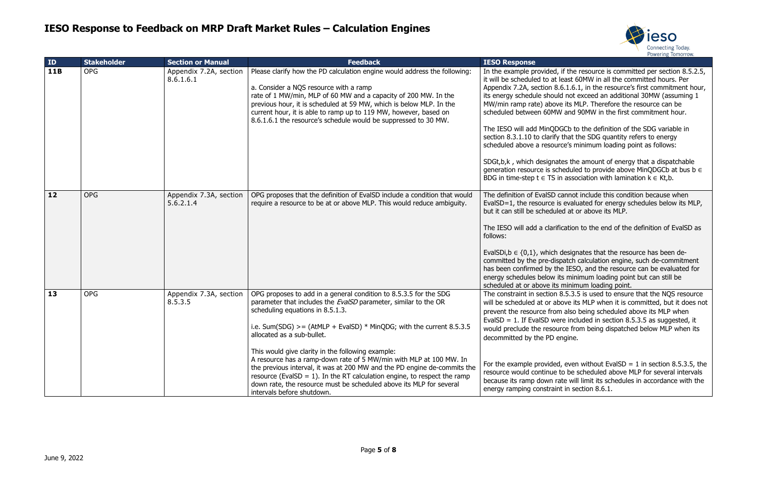

d, if the resource is committed per section 8.5.2.5, t least 60MW in all the committed hours. Per 8.6.1.6.1, in the resource's first commitment hour, uld not exceed an additional 30MW (assuming 1 we its MLP. Therefore the resource can be IW and 90MW in the first commitment hour.

DGCb to the definition of the SDG variable in fy that the SDG quantity refers to energy urce's minimum loading point as follows:

ates the amount of energy that a dispatchable scheduled to provide above MinQDGCb at bus b  $\in$  $\delta$  in association with lamination k  $\in$  Kt,b.

cannot include this condition because when is evaluated for energy schedules below its MLP, aled at or above its MLP.

ification to the end of the definition of EvalSD as

h designates that the resource has been deispatch calculation engine, such de-commitment the IESO, and the resource can be evaluated for its minimum loading point but can still be ts minimum loading point.

 $n$  8.5.3.5 is used to ensure that the NQS resource above its MLP when it is committed, but it does not pm also being scheduled above its MLP when vere included in section 8.5.3.5 as suggested, it ource from being dispatched below MLP when its engine.

ed, even without EvalSD = 1 in section 8.5.3.5, the e to be scheduled above MLP for several intervals rate will limit its schedules in accordance with the int in section  $8.6.1$ .

| ID         | <b>Stakeholder</b> | <b>Section or Manual</b>            | <b>Feedback</b>                                                                                                                                                                                                                                                                                                                                                                                                                                                                                                                                                                                                                                                           | <b>IESO Response</b>                                                                                                                                                                                                                                                                                                                 |
|------------|--------------------|-------------------------------------|---------------------------------------------------------------------------------------------------------------------------------------------------------------------------------------------------------------------------------------------------------------------------------------------------------------------------------------------------------------------------------------------------------------------------------------------------------------------------------------------------------------------------------------------------------------------------------------------------------------------------------------------------------------------------|--------------------------------------------------------------------------------------------------------------------------------------------------------------------------------------------------------------------------------------------------------------------------------------------------------------------------------------|
| <b>11B</b> | <b>OPG</b>         | Appendix 7.2A, section<br>8.6.1.6.1 | Please clarify how the PD calculation engine would address the following:<br>a. Consider a NQS resource with a ramp<br>rate of 1 MW/min, MLP of 60 MW and a capacity of 200 MW. In the<br>previous hour, it is scheduled at 59 MW, which is below MLP. In the<br>current hour, it is able to ramp up to 119 MW, however, based on<br>8.6.1.6.1 the resource's schedule would be suppressed to 30 MW.                                                                                                                                                                                                                                                                      | In the example provided<br>it will be scheduled to a<br>Appendix 7.2A, section<br>its energy schedule shor<br>MW/min ramp rate) abc<br>scheduled between 60M<br>The IESO will add MinQ<br>section 8.3.1.10 to clarif<br>scheduled above a resor<br>SDGt,b,k, which design<br>generation resource is s<br>BDG in time-step $t \in TS$ |
| 12         | <b>OPG</b>         | Appendix 7.3A, section<br>5.6.2.1.4 | OPG proposes that the definition of EvalSD include a condition that would<br>require a resource to be at or above MLP. This would reduce ambiguity.                                                                                                                                                                                                                                                                                                                                                                                                                                                                                                                       | The definition of EvalSD<br>EvalSD=1, the resource<br>but it can still be schedu<br>The IESO will add a clar<br>follows:<br>EvalSDi, $b \in \{0,1\}$ , whicl<br>committed by the pre-di<br>has been confirmed by t<br>energy schedules below<br>scheduled at or above it                                                             |
| 13         | <b>OPG</b>         | Appendix 7.3A, section<br>8.5.3.5   | OPG proposes to add in a general condition to 8.5.3.5 for the SDG<br>parameter that includes the EvalSD parameter, similar to the OR<br>scheduling equations in 8.5.1.3.<br>i.e. Sum(SDG) >= $(AtMLP + EvalSD) * MinQDG$ ; with the current 8.5.3.5<br>allocated as a sub-bullet.<br>This would give clarity in the following example:<br>A resource has a ramp-down rate of 5 MW/min with MLP at 100 MW. In<br>the previous interval, it was at 200 MW and the PD engine de-commits the<br>resource (EvalSD = 1). In the RT calculation engine, to respect the ramp<br>down rate, the resource must be scheduled above its MLP for several<br>intervals before shutdown. | The constraint in section<br>will be scheduled at or a<br>prevent the resource fro<br>EvalSD = $1.$ If EvalSD w<br>would preclude the reso<br>decommitted by the PD<br>For the example provide<br>resource would continue<br>because its ramp down<br>energy ramping constra                                                         |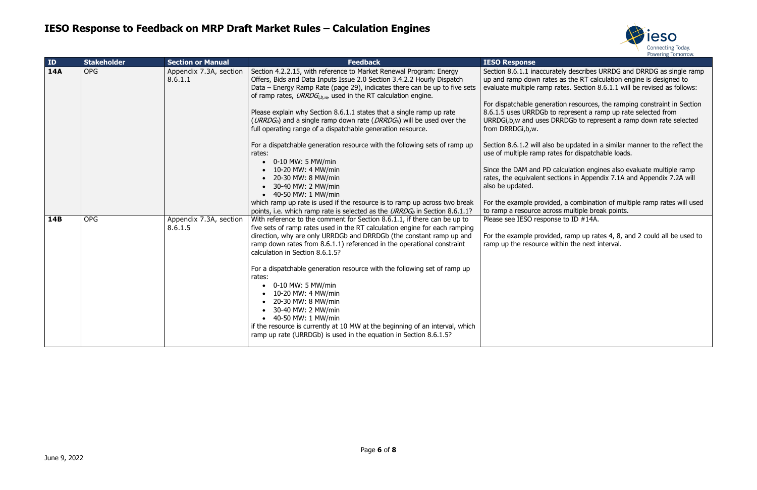

ately describes URRDG and DRRDG as single ramp es as the RT calculation engine is designed to rates. Section 8.6.1.1 will be revised as follows:

ation resources, the ramping constraint in Section o represent a ramp up rate selected from DRRDGb to represent a ramp down rate selected

be updated in a similar manner to the reflect the tes for dispatchable loads.

calculation engines also evaluate multiple ramp ections in Appendix 7.1A and Appendix 7.2A will

ed, a combination of multiple ramp rates will used oss multiple break points. se to ID  $#14A$ .

ed, ramp up rates 4, 8, and 2 could all be used to vithin the next interval.

| ID         | <b>Stakeholder</b> | <b>Section or Manual</b>          | <b>Feedback</b>                                                                                                                                                                                                                                                                                  | <b>IESO Response</b>                                                                               |
|------------|--------------------|-----------------------------------|--------------------------------------------------------------------------------------------------------------------------------------------------------------------------------------------------------------------------------------------------------------------------------------------------|----------------------------------------------------------------------------------------------------|
| <b>14A</b> | <b>OPG</b>         | Appendix 7.3A, section<br>8.6.1.1 | Section 4.2.2.15, with reference to Market Renewal Program: Energy<br>Offers, Bids and Data Inputs Issue 2.0 Section 3.4.2.2 Hourly Dispatch<br>Data - Energy Ramp Rate (page 29), indicates there can be up to five sets<br>of ramp rates, $URROG_{i,b,w}$ , used in the RT calculation engine. | Section 8.6.1.1 inaccura<br>up and ramp down rates<br>evaluate multiple ramp                       |
|            |                    |                                   | Please explain why Section 8.6.1.1 states that a single ramp up rate<br>(URRDG <sub>b</sub> ) and a single ramp down rate (DRRDG <sub>b</sub> ) will be used over the<br>full operating range of a dispatchable generation resource.                                                             | For dispatchable genera<br>8.6.1.5 uses URRDGb to<br>URRDGi, b, w and uses D<br>from DRRDGi, b, w. |
|            |                    |                                   | For a dispatchable generation resource with the following sets of ramp up<br>rates:<br>$\bullet$ 0-10 MW: 5 MW/min                                                                                                                                                                               | Section 8.6.1.2 will also<br>use of multiple ramp rat                                              |
|            |                    |                                   | $\bullet$ 10-20 MW: 4 MW/min<br>• 20-30 MW: 8 MW/min<br>• 30-40 MW: 2 MW/min<br>• 40-50 MW: 1 MW/min                                                                                                                                                                                             | Since the DAM and PD o<br>rates, the equivalent see<br>also be updated.                            |
|            |                    |                                   | which ramp up rate is used if the resource is to ramp up across two break<br>points, i.e. which ramp rate is selected as the URRDG <sub>b</sub> in Section 8.6.1.1?                                                                                                                              | For the example provide<br>to ramp a resource acro                                                 |
| 14B        | <b>OPG</b>         | Appendix 7.3A, section<br>8.6.1.5 | With reference to the comment for Section 8.6.1.1, if there can be up to<br>five sets of ramp rates used in the RT calculation engine for each ramping                                                                                                                                           | Please see IESO respons                                                                            |
|            |                    |                                   | direction, why are only URRDGb and DRRDGb (the constant ramp up and<br>ramp down rates from 8.6.1.1) referenced in the operational constraint<br>calculation in Section 8.6.1.5?                                                                                                                 | For the example provide<br>ramp up the resource w                                                  |
|            |                    |                                   | For a dispatchable generation resource with the following set of ramp up<br>rates:<br>$\bullet$ 0-10 MW: 5 MW/min                                                                                                                                                                                |                                                                                                    |
|            |                    |                                   | 10-20 MW: 4 MW/min<br>20-30 MW: 8 MW/min<br>30-40 MW: 2 MW/min                                                                                                                                                                                                                                   |                                                                                                    |
|            |                    |                                   | • 40-50 MW: 1 MW/min<br>if the resource is currently at 10 MW at the beginning of an interval, which<br>ramp up rate (URRDGb) is used in the equation in Section 8.6.1.5?                                                                                                                        |                                                                                                    |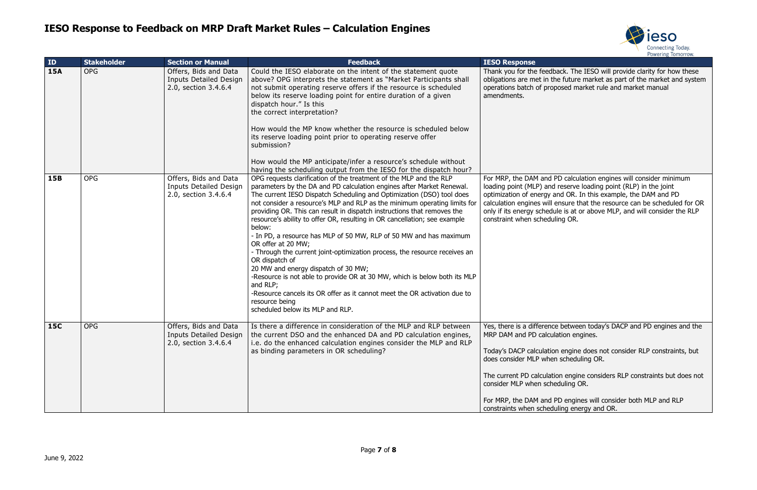

back. The IESO will provide clarity for how these he future market as part of the market and system posed market rule and market manual

PD calculation engines will consider minimum I reserve loading point (RLP) in the joint and OR. In this example, the DAM and PD ensure that the resource can be scheduled for OR ule is at or above MLP, and will consider the RLP ling OR.

there between today's DACP and PD engines and the Ilation engines.

on engine does not consider RLP constraints, but n scheduling OR.

tion engine considers RLP constraints but does not eduling OR.

PD engines will consider both MLP and RLP luling energy and OR.

| ID         | <b>Stakeholder</b> | <b>Section or Manual</b>                                                       | <b>Feedback</b>                                                                                                                                                                                                                                                                                                                                                                                                                                                                                                                                                                                                                                                                                                                                                                                                                                                                                                                    | <b>IESO Response</b>                                                                                                                                                                                              |
|------------|--------------------|--------------------------------------------------------------------------------|------------------------------------------------------------------------------------------------------------------------------------------------------------------------------------------------------------------------------------------------------------------------------------------------------------------------------------------------------------------------------------------------------------------------------------------------------------------------------------------------------------------------------------------------------------------------------------------------------------------------------------------------------------------------------------------------------------------------------------------------------------------------------------------------------------------------------------------------------------------------------------------------------------------------------------|-------------------------------------------------------------------------------------------------------------------------------------------------------------------------------------------------------------------|
| <b>15A</b> | <b>OPG</b>         | Offers, Bids and Data<br><b>Inputs Detailed Design</b><br>2.0, section 3.4.6.4 | Could the IESO elaborate on the intent of the statement quote<br>above? OPG interprets the statement as "Market Participants shall<br>not submit operating reserve offers if the resource is scheduled<br>below its reserve loading point for entire duration of a given<br>dispatch hour." Is this<br>the correct interpretation?<br>How would the MP know whether the resource is scheduled below<br>its reserve loading point prior to operating reserve offer<br>submission?<br>How would the MP anticipate/infer a resource's schedule without<br>having the scheduling output from the IESO for the dispatch hour?                                                                                                                                                                                                                                                                                                           | Thank you for the feedb<br>obligations are met in th<br>operations batch of prop<br>amendments.                                                                                                                   |
| <b>15B</b> | <b>OPG</b>         | Offers, Bids and Data<br><b>Inputs Detailed Design</b><br>2.0, section 3.4.6.4 | OPG requests clarification of the treatment of the MLP and the RLP<br>parameters by the DA and PD calculation engines after Market Renewal.<br>The current IESO Dispatch Scheduling and Optimization (DSO) tool does<br>not consider a resource's MLP and RLP as the minimum operating limits for<br>providing OR. This can result in dispatch instructions that removes the<br>resource's ability to offer OR, resulting in OR cancellation; see example<br>below:<br>- In PD, a resource has MLP of 50 MW, RLP of 50 MW and has maximum<br>OR offer at 20 MW;<br>- Through the current joint-optimization process, the resource receives an<br>OR dispatch of<br>20 MW and energy dispatch of 30 MW;<br>-Resource is not able to provide OR at 30 MW, which is below both its MLP<br>and RLP;<br>-Resource cancels its OR offer as it cannot meet the OR activation due to<br>resource being<br>scheduled below its MLP and RLP. | For MRP, the DAM and I<br>loading point (MLP) and<br>optimization of energy a<br>calculation engines will<br>only if its energy schedu<br>constraint when schedu                                                  |
| <b>15C</b> | <b>OPG</b>         | Offers, Bids and Data<br>Inputs Detailed Design<br>2.0, section 3.4.6.4        | Is there a difference in consideration of the MLP and RLP between<br>the current DSO and the enhanced DA and PD calculation engines,<br>i.e. do the enhanced calculation engines consider the MLP and RLP<br>as binding parameters in OR scheduling?                                                                                                                                                                                                                                                                                                                                                                                                                                                                                                                                                                                                                                                                               | Yes, there is a differenc<br>MRP DAM and PD calcul<br>Today's DACP calculatio<br>does consider MLP when<br>The current PD calculati<br>consider MLP when sche<br>For MRP, the DAM and I<br>constraints when sched |